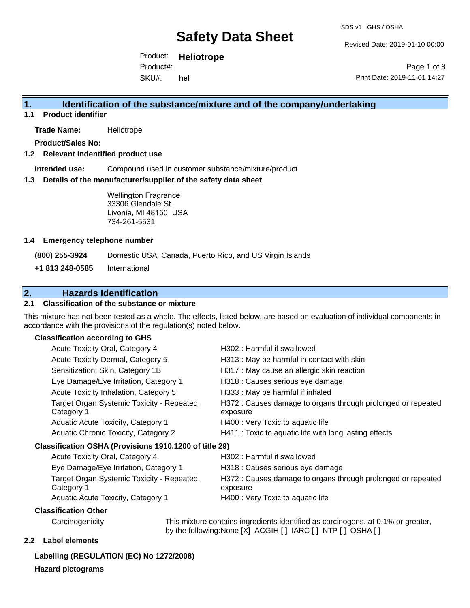Revised Date: 2019-01-10 00:00

Product: **Heliotrope**  SKU#: Product#: **hel**

Page 1 of 8 Print Date: 2019-11-01 14:27

### **1. Identification of the substance/mixture and of the company/undertaking**

**1.1 Product identifier**

**Trade Name:** Heliotrope

**Product/Sales No:**

#### **1.2 Relevant indentified product use**

**Intended use:** Compound used in customer substance/mixture/product

#### **1.3 Details of the manufacturer/supplier of the safety data sheet**

Wellington Fragrance 33306 Glendale St. Livonia, MI 48150 USA 734-261-5531

#### **1.4 Emergency telephone number**

**(800) 255-3924** Domestic USA, Canada, Puerto Rico, and US Virgin Islands

**+1 813 248-0585** International

### **2. Hazards Identification**

#### **2.1 Classification of the substance or mixture**

This mixture has not been tested as a whole. The effects, listed below, are based on evaluation of individual components in accordance with the provisions of the regulation(s) noted below.

#### **Classification according to GHS**

| Acute Toxicity Oral, Category 4                          | H302: Harmful if swallowed                                               |
|----------------------------------------------------------|--------------------------------------------------------------------------|
| Acute Toxicity Dermal, Category 5                        | H313 : May be harmful in contact with skin                               |
| Sensitization, Skin, Category 1B                         | H317 : May cause an allergic skin reaction                               |
| Eye Damage/Eye Irritation, Category 1                    | H318 : Causes serious eye damage                                         |
| Acute Toxicity Inhalation, Category 5                    | H333: May be harmful if inhaled                                          |
| Target Organ Systemic Toxicity - Repeated,<br>Category 1 | H372 : Causes damage to organs through prolonged or repeated<br>exposure |
| Aquatic Acute Toxicity, Category 1                       | H400 : Very Toxic to aquatic life                                        |
| Aquatic Chronic Toxicity, Category 2                     | H411 : Toxic to aquatic life with long lasting effects                   |
| Classification OSHA (Provisions 1910.1200 of title 29)   |                                                                          |
| Acute Toxicity Oral, Category 4                          | H302 : Harmful if swallowed                                              |
|                                                          |                                                                          |

| Acute Toxicity Oral, Category 4                          | H302: Harmful if swallowed                                               |
|----------------------------------------------------------|--------------------------------------------------------------------------|
| Eye Damage/Eye Irritation, Category 1                    | H318 : Causes serious eye damage                                         |
| Target Organ Systemic Toxicity - Repeated,<br>Category 1 | H372 : Causes damage to organs through prolonged or repeated<br>exposure |
| Aquatic Acute Toxicity, Category 1                       | H400 : Very Toxic to aquatic life                                        |

#### **Classification Other**

Carcinogenicity This mixture contains ingredients identified as carcinogens, at 0.1% or greater, by the following:None [X] ACGIH [ ] IARC [ ] NTP [ ] OSHA [ ]

#### **2.2 Label elements**

**Labelling (REGULATION (EC) No 1272/2008)**

#### **Hazard pictograms**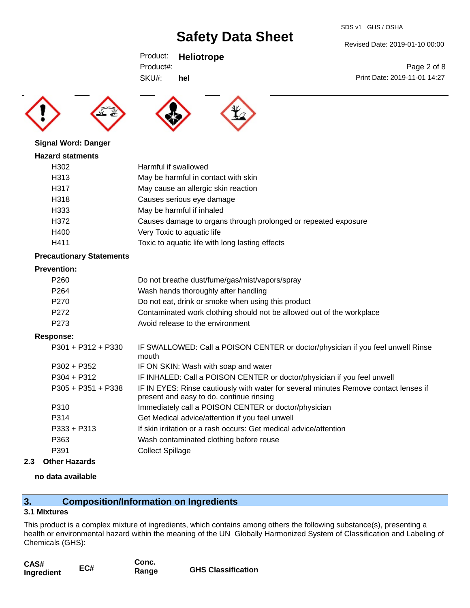SDS v1 GHS / OSHA

Revised Date: 2019-01-10 00:00

Print Date: 2019-11-01 14:27

Page 2 of 8

Product: **Heliotrope**  Product#:

SKU#: **hel**





**Hazard statments** H302 Harmful if swallowed H313 May be harmful in contact with skin H317 May cause an allergic skin reaction H318 Causes serious eye damage H333 May be harmful if inhaled H372 Causes damage to organs through prolonged or repeated exposure H400 Very Toxic to aquatic life H411 Toxic to aquatic life with long lasting effects

#### **Precautionary Statements**

**Signal Word: Danger**

#### **Prevention:**

| P <sub>260</sub> | Do not breathe dust/fume/gas/mist/vapors/spray                        |
|------------------|-----------------------------------------------------------------------|
| P <sub>264</sub> | Wash hands thoroughly after handling                                  |
| P270             | Do not eat, drink or smoke when using this product                    |
| P <sub>272</sub> | Contaminated work clothing should not be allowed out of the workplace |
| P273             | Avoid release to the environment                                      |

#### **Response:**

| $P301 + P312 + P330$ | IF SWALLOWED: Call a POISON CENTER or doctor/physician if you feel unwell Rinse<br>mouth                                         |
|----------------------|----------------------------------------------------------------------------------------------------------------------------------|
| $P302 + P352$        | IF ON SKIN: Wash with soap and water                                                                                             |
| $P304 + P312$        | IF INHALED: Call a POISON CENTER or doctor/physician if you feel unwell                                                          |
| $P305 + P351 + P338$ | IF IN EYES: Rinse cautiously with water for several minutes Remove contact lenses if<br>present and easy to do. continue rinsing |
| P310                 | Immediately call a POISON CENTER or doctor/physician                                                                             |
| P314                 | Get Medical advice/attention if you feel unwell                                                                                  |
| $P333 + P313$        | If skin irritation or a rash occurs: Get medical advice/attention                                                                |
| P363                 | Wash contaminated clothing before reuse                                                                                          |
| P391                 | <b>Collect Spillage</b>                                                                                                          |
|                      |                                                                                                                                  |

**2.3 Other Hazards**

### **no data available**

# **3. Composition/Information on Ingredients**

#### **3.1 Mixtures**

This product is a complex mixture of ingredients, which contains among others the following substance(s), presenting a health or environmental hazard within the meaning of the UN Globally Harmonized System of Classification and Labeling of Chemicals (GHS):

| CAS#       |     | Conc. |                           |
|------------|-----|-------|---------------------------|
| Ingredient | EC# | Range | <b>GHS Classification</b> |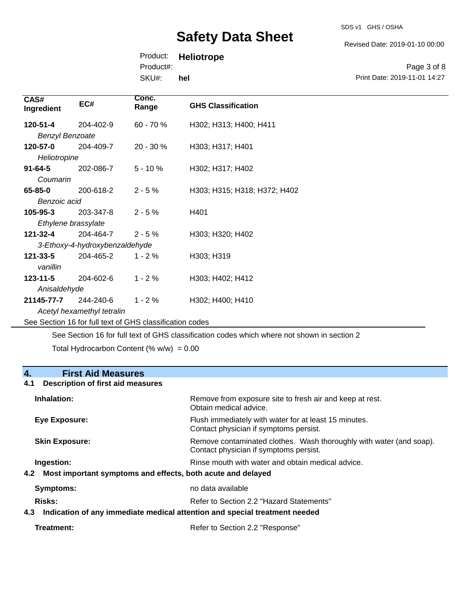SDS v1 GHS / OSHA

Revised Date: 2019-01-10 00:00

Print Date: 2019-11-01 14:27

Page 3 of 8

Product: **Heliotrope** 

Product#:

SKU#: **hel**

| CAS#<br>Ingredient                                       | EC#       | Conc.<br>Range | <b>GHS Classification</b>    |
|----------------------------------------------------------|-----------|----------------|------------------------------|
| 120-51-4                                                 | 204-402-9 | 60 - 70 %      | H302; H313; H400; H411       |
| <b>Benzyl Benzoate</b>                                   |           |                |                              |
| 120-57-0                                                 | 204-409-7 | 20 - 30 %      | H303; H317; H401             |
| Heliotropine                                             |           |                |                              |
| $91 - 64 - 5$                                            | 202-086-7 | $5 - 10%$      | H302; H317; H402             |
| Coumarin                                                 |           |                |                              |
| 65-85-0                                                  | 200-618-2 | $2 - 5%$       | H303; H315; H318; H372; H402 |
| Benzoic acid                                             |           |                |                              |
| 105-95-3                                                 | 203-347-8 | $2 - 5%$       | H401                         |
| Ethylene brassylate                                      |           |                |                              |
| 121-32-4                                                 | 204-464-7 | $2 - 5%$       | H303; H320; H402             |
| 3-Ethoxy-4-hydroxybenzaldehyde                           |           |                |                              |
| 121-33-5                                                 | 204-465-2 | $1 - 2%$       | H303; H319                   |
| vanillin                                                 |           |                |                              |
| $123 - 11 - 5$                                           | 204-602-6 | $1 - 2%$       | H303; H402; H412             |
| Anisaldehyde                                             |           |                |                              |
| 21145-77-7                                               | 244-240-6 | $1 - 2%$       | H302; H400; H410             |
| Acetyl hexamethyl tetralin                               |           |                |                              |
| See Section 16 for full text of GHS classification codes |           |                |                              |

See Section 16 for full text of GHS classification codes which where not shown in section 2

Total Hydrocarbon Content (%  $w/w$ ) = 0.00

# **4. First Aid Measures**

#### **4.1 Description of first aid measures**

| Inhalation:                                                                       | Remove from exposure site to fresh air and keep at rest.<br>Obtain medical advice.                            |  |
|-----------------------------------------------------------------------------------|---------------------------------------------------------------------------------------------------------------|--|
| Eye Exposure:                                                                     | Flush immediately with water for at least 15 minutes.<br>Contact physician if symptoms persist.               |  |
| <b>Skin Exposure:</b>                                                             | Remove contaminated clothes. Wash thoroughly with water (and soap).<br>Contact physician if symptoms persist. |  |
| Ingestion:                                                                        | Rinse mouth with water and obtain medical advice.                                                             |  |
| Most important symptoms and effects, both acute and delayed<br>4.2                |                                                                                                               |  |
| Symptoms:                                                                         | no data available                                                                                             |  |
| <b>Risks:</b>                                                                     | Refer to Section 2.2 "Hazard Statements"                                                                      |  |
| Indication of any immediate medical attention and special treatment needed<br>4.3 |                                                                                                               |  |
|                                                                                   |                                                                                                               |  |

| Refer to Section 2.2 "Response" |
|---------------------------------|
|                                 |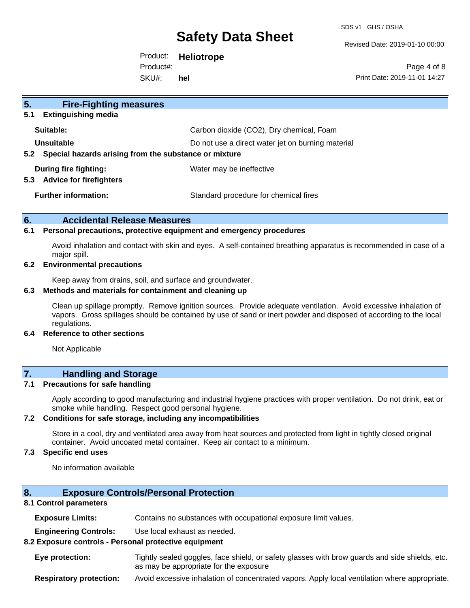SDS v1 GHS / OSHA

Revised Date: 2019-01-10 00:00

Product: **Heliotrope**  SKU#: Product#: **hel**

Page 4 of 8 Print Date: 2019-11-01 14:27

| 5 <sub>1</sub><br><b>Fire-Fighting measures</b>                        |                                                   |  |
|------------------------------------------------------------------------|---------------------------------------------------|--|
| <b>Extinguishing media</b><br>5.1                                      |                                                   |  |
| Suitable:                                                              | Carbon dioxide (CO2), Dry chemical, Foam          |  |
| Unsuitable                                                             | Do not use a direct water jet on burning material |  |
| Special hazards arising from the substance or mixture<br>$5.2^{\circ}$ |                                                   |  |
| During fire fighting:<br><b>Advice for firefighters</b><br>5.3         | Water may be ineffective                          |  |
| <b>Further information:</b>                                            | Standard procedure for chemical fires             |  |

#### **6. Accidental Release Measures**

#### **6.1 Personal precautions, protective equipment and emergency procedures**

Avoid inhalation and contact with skin and eyes. A self-contained breathing apparatus is recommended in case of a major spill.

#### **6.2 Environmental precautions**

Keep away from drains, soil, and surface and groundwater.

#### **6.3 Methods and materials for containment and cleaning up**

Clean up spillage promptly. Remove ignition sources. Provide adequate ventilation. Avoid excessive inhalation of vapors. Gross spillages should be contained by use of sand or inert powder and disposed of according to the local regulations.

#### **6.4 Reference to other sections**

Not Applicable

### **7. Handling and Storage**

#### **7.1 Precautions for safe handling**

Apply according to good manufacturing and industrial hygiene practices with proper ventilation. Do not drink, eat or smoke while handling. Respect good personal hygiene.

#### **7.2 Conditions for safe storage, including any incompatibilities**

Store in a cool, dry and ventilated area away from heat sources and protected from light in tightly closed original container. Avoid uncoated metal container. Keep air contact to a minimum.

#### **7.3 Specific end uses**

No information available

#### **8. Exposure Controls/Personal Protection**

#### **8.1 Control parameters**

**Exposure Limits:** Contains no substances with occupational exposure limit values.

**Engineering Controls:** Use local exhaust as needed.

#### **8.2 Exposure controls - Personal protective equipment**

**Eye protection:** Tightly sealed goggles, face shield, or safety glasses with brow guards and side shields, etc. as may be appropriate for the exposure

**Respiratory protection:** Avoid excessive inhalation of concentrated vapors. Apply local ventilation where appropriate.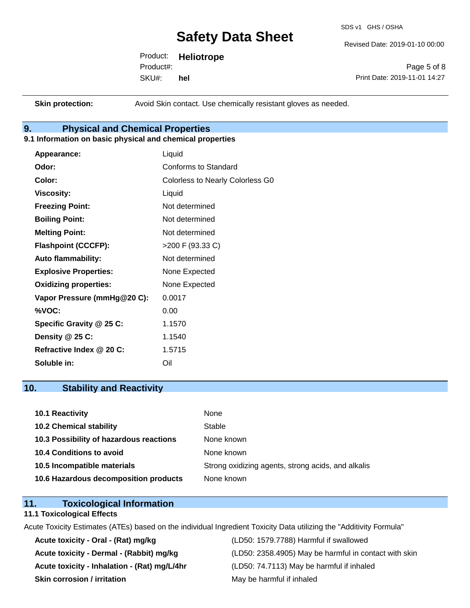SDS v1 GHS / OSHA

Revised Date: 2019-01-10 00:00

Product: **Heliotrope**  SKU#: Product#: **hel**

Page 5 of 8 Print Date: 2019-11-01 14:27

**Skin protection:** Avoid Skin contact. Use chemically resistant gloves as needed.

### **9. Physical and Chemical Properties**

#### **9.1 Information on basic physical and chemical properties**

| Appearance:                  | Liquid                                  |
|------------------------------|-----------------------------------------|
| Odor:                        | Conforms to Standard                    |
| Color:                       | <b>Colorless to Nearly Colorless G0</b> |
| <b>Viscosity:</b>            | Liquid                                  |
| <b>Freezing Point:</b>       | Not determined                          |
| <b>Boiling Point:</b>        | Not determined                          |
| <b>Melting Point:</b>        | Not determined                          |
| <b>Flashpoint (CCCFP):</b>   | >200 F (93.33 C)                        |
| <b>Auto flammability:</b>    | Not determined                          |
| <b>Explosive Properties:</b> | None Expected                           |
| <b>Oxidizing properties:</b> | None Expected                           |
| Vapor Pressure (mmHg@20 C):  | 0.0017                                  |
| %VOC:                        | 0.00                                    |
| Specific Gravity @ 25 C:     | 1.1570                                  |
| Density @ 25 C:              | 1.1540                                  |
| Refractive Index @ 20 C:     | 1.5715                                  |
| Soluble in:                  | Oil                                     |

### **10. Stability and Reactivity**

| 10.1 Reactivity                         | None                                               |
|-----------------------------------------|----------------------------------------------------|
| <b>10.2 Chemical stability</b>          | Stable                                             |
| 10.3 Possibility of hazardous reactions | None known                                         |
| <b>10.4 Conditions to avoid</b>         | None known                                         |
| 10.5 Incompatible materials             | Strong oxidizing agents, strong acids, and alkalis |
| 10.6 Hazardous decomposition products   | None known                                         |

### **11. Toxicological Information**

#### **11.1 Toxicological Effects**

Acute Toxicity Estimates (ATEs) based on the individual Ingredient Toxicity Data utilizing the "Additivity Formula"

**Acute toxicity - Oral - (Rat) mg/kg** (LD50: 1579.7788) Harmful if swallowed **Acute toxicity - Inhalation - (Rat) mg/L/4hr** (LD50: 74.7113) May be harmful if inhaled **Skin corrosion / irritation** May be harmful if inhaled

Acute toxicity - Dermal - (Rabbit) mg/kg<br>
(LD50: 2358.4905) May be harmful in contact with skin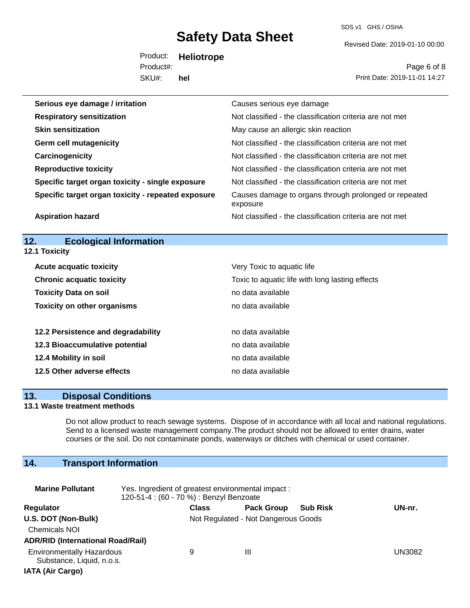SDS v1 GHS / OSHA

Revised Date: 2019-01-10 00:00

Product: **Heliotrope**  SKU#: Product#: **hel**

Page 6 of 8 Print Date: 2019-11-01 14:27

| Serious eye damage / irritation                    | Causes serious eye damage                                         |
|----------------------------------------------------|-------------------------------------------------------------------|
| <b>Respiratory sensitization</b>                   | Not classified - the classification criteria are not met          |
| <b>Skin sensitization</b>                          | May cause an allergic skin reaction                               |
| <b>Germ cell mutagenicity</b>                      | Not classified - the classification criteria are not met          |
| Carcinogenicity                                    | Not classified - the classification criteria are not met          |
| <b>Reproductive toxicity</b>                       | Not classified - the classification criteria are not met          |
| Specific target organ toxicity - single exposure   | Not classified - the classification criteria are not met          |
| Specific target organ toxicity - repeated exposure | Causes damage to organs through prolonged or repeated<br>exposure |
| <b>Aspiration hazard</b>                           | Not classified - the classification criteria are not met          |

# **12. Ecological Information**

**12.1 Toxicity**

| <b>Acute acquatic toxicity</b>     | Very Toxic to aquatic life                      |
|------------------------------------|-------------------------------------------------|
| <b>Chronic acquatic toxicity</b>   | Toxic to aquatic life with long lasting effects |
| <b>Toxicity Data on soil</b>       | no data available                               |
| <b>Toxicity on other organisms</b> | no data available                               |
|                                    |                                                 |
| 12.2 Persistence and degradability | no data available                               |
| 12.3 Bioaccumulative potential     | no data available                               |
| 12.4 Mobility in soil              | no data available                               |
| 12.5 Other adverse effects         | no data available                               |

#### **13. Disposal Conditions**

#### **13.1 Waste treatment methods**

Do not allow product to reach sewage systems. Dispose of in accordance with all local and national regulations. Send to a licensed waste management company.The product should not be allowed to enter drains, water courses or the soil. Do not contaminate ponds, waterways or ditches with chemical or used container.

### **14. Transport Information**

| <b>Marine Pollutant</b>                                       | Yes. Ingredient of greatest environmental impact:<br>120-51-4 : (60 - 70 %) : Benzyl Benzoate |                                     |                   |                 |        |
|---------------------------------------------------------------|-----------------------------------------------------------------------------------------------|-------------------------------------|-------------------|-----------------|--------|
| Regulator                                                     |                                                                                               | <b>Class</b>                        | <b>Pack Group</b> | <b>Sub Risk</b> | UN-nr. |
| U.S. DOT (Non-Bulk)                                           |                                                                                               | Not Regulated - Not Dangerous Goods |                   |                 |        |
| <b>Chemicals NOI</b>                                          |                                                                                               |                                     |                   |                 |        |
| <b>ADR/RID (International Road/Rail)</b>                      |                                                                                               |                                     |                   |                 |        |
| <b>Environmentally Hazardous</b><br>Substance, Liquid, n.o.s. |                                                                                               | 9                                   | Ш                 |                 | UN3082 |
| <b>IATA (Air Cargo)</b>                                       |                                                                                               |                                     |                   |                 |        |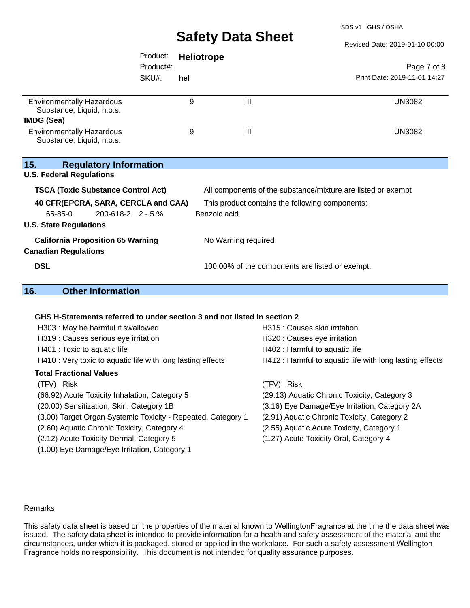SDS v1 GHS / OSHA

Revised Date: 2019-01-10 00:00

|                                                                                                              | Product:  | <b>Heliotrope</b> |                                                 |                                                              |
|--------------------------------------------------------------------------------------------------------------|-----------|-------------------|-------------------------------------------------|--------------------------------------------------------------|
|                                                                                                              | Product#: |                   |                                                 | Page 7 of 8                                                  |
|                                                                                                              | SKU#:     | hel               |                                                 | Print Date: 2019-11-01 14:27                                 |
| <b>Environmentally Hazardous</b><br>Substance, Liquid, n.o.s.                                                |           | 9                 | $\mathbf{III}$                                  | <b>UN3082</b>                                                |
| IMDG (Sea)                                                                                                   |           |                   |                                                 |                                                              |
| <b>Environmentally Hazardous</b><br>Substance, Liquid, n.o.s.                                                |           | 9                 | $\mathbf{III}$                                  | <b>UN3082</b>                                                |
| 15.<br><b>Regulatory Information</b><br><b>U.S. Federal Regulations</b>                                      |           |                   |                                                 |                                                              |
| <b>TSCA (Toxic Substance Control Act)</b>                                                                    |           |                   |                                                 | All components of the substance/mixture are listed or exempt |
| 40 CFR(EPCRA, SARA, CERCLA and CAA)<br>$200 - 618 - 2$ 2 - 5 %<br>$65-85-0$<br><b>U.S. State Regulations</b> |           | Benzoic acid      | This product contains the following components: |                                                              |
| <b>California Proposition 65 Warning</b><br><b>Canadian Regulations</b>                                      |           |                   | No Warning required                             |                                                              |
| <b>DSL</b>                                                                                                   |           |                   | 100.00% of the components are listed or exempt. |                                                              |

# **16. Other Information**

#### **GHS H-Statements referred to under section 3 and not listed in section 2**

| H303: May be harmful if swallowed<br>H319 : Causes serious eye irritation<br>H401 : Toxic to aquatic life<br>H410 : Very toxic to aquatic life with long lasting effects | H315 : Causes skin irritation<br>H320 : Causes eye irritation<br>H402 : Harmful to aquatic life<br>H412 : Harmful to aquatic life with long lasting effects |
|--------------------------------------------------------------------------------------------------------------------------------------------------------------------------|-------------------------------------------------------------------------------------------------------------------------------------------------------------|
| <b>Total Fractional Values</b>                                                                                                                                           |                                                                                                                                                             |
| (TFV) Risk                                                                                                                                                               | (TFV) Risk                                                                                                                                                  |
| (66.92) Acute Toxicity Inhalation, Category 5                                                                                                                            | (29.13) Aquatic Chronic Toxicity, Category 3                                                                                                                |
| (20.00) Sensitization, Skin, Category 1B                                                                                                                                 | (3.16) Eye Damage/Eye Irritation, Category 2A                                                                                                               |
| (3.00) Target Organ Systemic Toxicity - Repeated, Category 1                                                                                                             | (2.91) Aquatic Chronic Toxicity, Category 2                                                                                                                 |
| (2.60) Aquatic Chronic Toxicity, Category 4                                                                                                                              | (2.55) Aquatic Acute Toxicity, Category 1                                                                                                                   |
| (2.12) Acute Toxicity Dermal, Category 5                                                                                                                                 | (1.27) Acute Toxicity Oral, Category 4                                                                                                                      |
| (1.00) Eye Damage/Eye Irritation, Category 1                                                                                                                             |                                                                                                                                                             |
|                                                                                                                                                                          |                                                                                                                                                             |

#### Remarks

This safety data sheet is based on the properties of the material known to WellingtonFragrance at the time the data sheet was issued. The safety data sheet is intended to provide information for a health and safety assessment of the material and the circumstances, under which it is packaged, stored or applied in the workplace. For such a safety assessment Wellington Fragrance holds no responsibility. This document is not intended for quality assurance purposes.